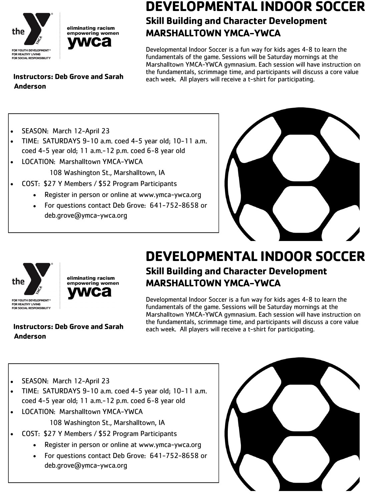



### **DEVELOPMENTAL INDOOR SOCCER Skill Building and Character Development MARSHALLTOWN YMCA-YWCA**

Developmental Indoor Soccer is a fun way for kids ages 4-8 to learn the fundamentals of the game. Sessions will be Saturday mornings at the Marshalltown YMCA-YWCA gymnasium. Each session will have instruction on the fundamentals, scrimmage time, and participants will discuss a core value each week. All players will receive a t-shirt for participating.

**Instructors: Deb Grove and Sarah Anderson**

- SEASON: March 12-April 23
- TIME: SATURDAYS 9-10 a.m. coed 4-5 year old; 10-11 a.m. coed 4-5 year old; 11 a.m.-12 p.m. coed 6-8 year old
- LOCATION: Marshalltown YMCA-YWCA
	- 108 Washington St., Marshalltown, IA
	- COST: \$27 Y Members / \$52 Program Participants
		- Register in person or online at www.ymca-ywca.org
		- For questions contact Deb Grove: 641-752-8658 or deb.grove@ymca-ywca.org





eliminating racism empowering women

## **DEVELOPMENTAL INDOOR SOCCER Skill Building and Character Development MARSHALLTOWN YMCA-YWCA**

Developmental Indoor Soccer is a fun way for kids ages 4-8 to learn the fundamentals of the game. Sessions will be Saturday mornings at the Marshalltown YMCA-YWCA gymnasium. Each session will have instruction on the fundamentals, scrimmage time, and participants will discuss a core value each week. All players will receive a t-shirt for participating.

**Instructors: Deb Grove and Sarah Anderson**

- SEASON: March 12-April 23
- TIME: SATURDAYS 9-10 a.m. coed 4-5 year old; 10-11 a.m. coed 4-5 year old; 11 a.m.-12 p.m. coed 6-8 year old
- LOCATION: Marshalltown YMCA-YWCA 108 Washington St., Marshalltown, IA
- COST: \$27 Y Members / \$52 Program Participants
	- Register in person or online at www.ymca-ywca.org
	- For questions contact Deb Grove: 641-752-8658 or deb.grove@ymca-ywca.org